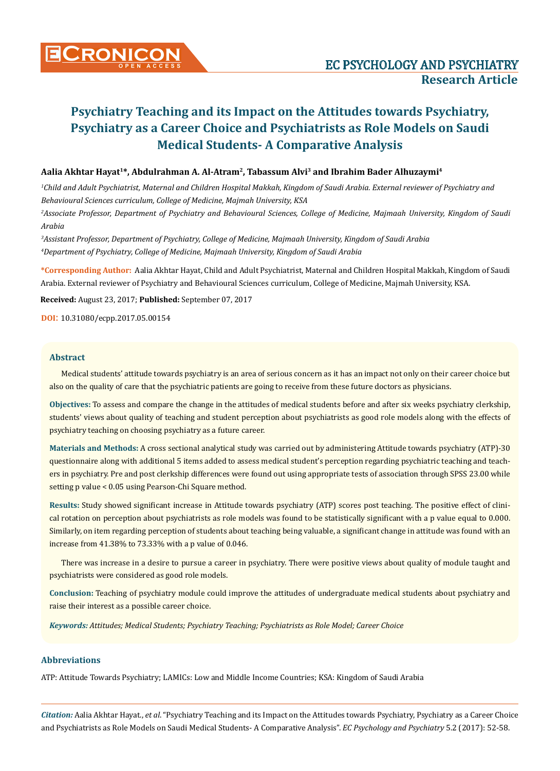### **Aalia Akhtar Hayat1\*, Abdulrahman A. Al-Atram2, Tabassum Alvi3 and Ibrahim Bader Alhuzaymi4**

*1 Child and Adult Psychiatrist, Maternal and Children Hospital Makkah, Kingdom of Saudi Arabia. External reviewer of Psychiatry and Behavioural Sciences curriculum, College of Medicine, Majmah University, KSA*

*2 Associate Professor, Department of Psychiatry and Behavioural Sciences, College of Medicine, Majmaah University, Kingdom of Saudi Arabia*

*3 Assistant Professor, Department of Psychiatry, College of Medicine, Majmaah University, Kingdom of Saudi Arabia 4 Department of Psychiatry, College of Medicine, Majmaah University, Kingdom of Saudi Arabia*

**\*Corresponding Author:** Aalia Akhtar Hayat, Child and Adult Psychiatrist, Maternal and Children Hospital Makkah, Kingdom of Saudi Arabia. External reviewer of Psychiatry and Behavioural Sciences curriculum, College of Medicine, Majmah University, KSA.

**Received:** August 23, 2017; **Published:** September 07, 2017

**DOI**: 10.31080/ecpp.2017.05.00154

### **Abstract**

Medical students' attitude towards psychiatry is an area of serious concern as it has an impact not only on their career choice but also on the quality of care that the psychiatric patients are going to receive from these future doctors as physicians.

**Objectives:** To assess and compare the change in the attitudes of medical students before and after six weeks psychiatry clerkship, students' views about quality of teaching and student perception about psychiatrists as good role models along with the effects of psychiatry teaching on choosing psychiatry as a future career.

**Materials and Methods:** A cross sectional analytical study was carried out by administering Attitude towards psychiatry (ATP)-30 questionnaire along with additional 5 items added to assess medical student's perception regarding psychiatric teaching and teachers in psychiatry. Pre and post clerkship differences were found out using appropriate tests of association through SPSS 23.00 while setting p value < 0.05 using Pearson-Chi Square method.

**Results:** Study showed significant increase in Attitude towards psychiatry (ATP) scores post teaching. The positive effect of clinical rotation on perception about psychiatrists as role models was found to be statistically significant with a p value equal to 0.000. Similarly, on item regarding perception of students about teaching being valuable, a significant change in attitude was found with an increase from 41.38% to 73.33% with a p value of 0.046.

There was increase in a desire to pursue a career in psychiatry. There were positive views about quality of module taught and psychiatrists were considered as good role models.

**Conclusion:** Teaching of psychiatry module could improve the attitudes of undergraduate medical students about psychiatry and raise their interest as a possible career choice.

*Keywords: Attitudes; Medical Students; Psychiatry Teaching; Psychiatrists as Role Model; Career Choice*

### **Abbreviations**

ATP: Attitude Towards Psychiatry; LAMICs: Low and Middle Income Countries; KSA: Kingdom of Saudi Arabia

*Citation:* Aalia Akhtar Hayat., *et al*. "Psychiatry Teaching and its Impact on the Attitudes towards Psychiatry, Psychiatry as a Career Choice and Psychiatrists as Role Models on Saudi Medical Students- A Comparative Analysis". *EC Psychology and Psychiatry* 5.2 (2017): 52-58.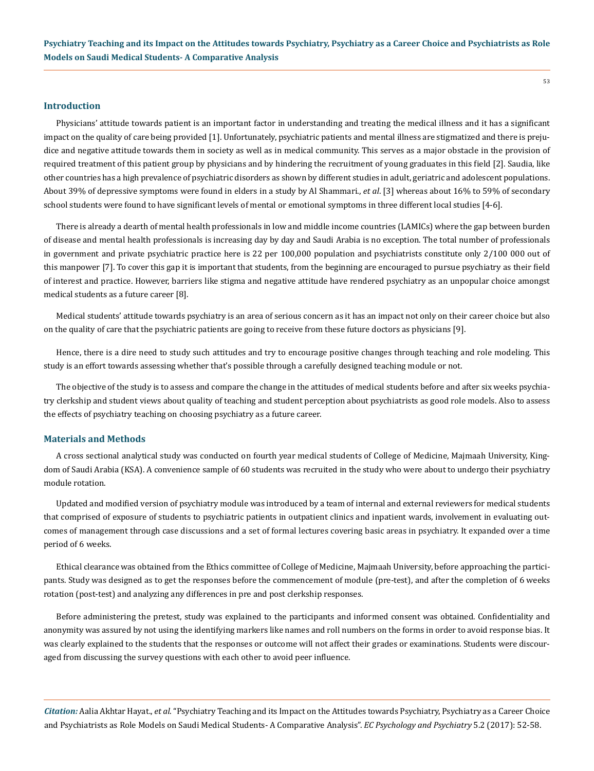#### **Introduction**

Physicians' attitude towards patient is an important factor in understanding and treating the medical illness and it has a significant impact on the quality of care being provided [1]. Unfortunately, psychiatric patients and mental illness are stigmatized and there is prejudice and negative attitude towards them in society as well as in medical community. This serves as a major obstacle in the provision of required treatment of this patient group by physicians and by hindering the recruitment of young graduates in this field [2]. Saudia, like other countries has a high prevalence of psychiatric disorders as shown by different studies in adult, geriatric and adolescent populations. About 39% of depressive symptoms were found in elders in a study by Al Shammari., *et al*. [3] whereas about 16% to 59% of secondary school students were found to have significant levels of mental or emotional symptoms in three different local studies [4-6].

There is already a dearth of mental health professionals in low and middle income countries (LAMICs) where the gap between burden of disease and mental health professionals is increasing day by day and Saudi Arabia is no exception. The total number of professionals in government and private psychiatric practice here is 22 per 100,000 population and psychiatrists constitute only 2/100 000 out of this manpower [7]. To cover this gap it is important that students, from the beginning are encouraged to pursue psychiatry as their field of interest and practice. However, barriers like stigma and negative attitude have rendered psychiatry as an unpopular choice amongst medical students as a future career [8].

Medical students' attitude towards psychiatry is an area of serious concern as it has an impact not only on their career choice but also on the quality of care that the psychiatric patients are going to receive from these future doctors as physicians [9].

Hence, there is a dire need to study such attitudes and try to encourage positive changes through teaching and role modeling. This study is an effort towards assessing whether that's possible through a carefully designed teaching module or not.

The objective of the study is to assess and compare the change in the attitudes of medical students before and after six weeks psychiatry clerkship and student views about quality of teaching and student perception about psychiatrists as good role models. Also to assess the effects of psychiatry teaching on choosing psychiatry as a future career.

### **Materials and Methods**

A cross sectional analytical study was conducted on fourth year medical students of College of Medicine, Majmaah University, Kingdom of Saudi Arabia (KSA). A convenience sample of 60 students was recruited in the study who were about to undergo their psychiatry module rotation.

Updated and modified version of psychiatry module was introduced by a team of internal and external reviewers for medical students that comprised of exposure of students to psychiatric patients in outpatient clinics and inpatient wards, involvement in evaluating outcomes of management through case discussions and a set of formal lectures covering basic areas in psychiatry. It expanded over a time period of 6 weeks.

Ethical clearance was obtained from the Ethics committee of College of Medicine, Majmaah University, before approaching the participants. Study was designed as to get the responses before the commencement of module (pre-test), and after the completion of 6 weeks rotation (post-test) and analyzing any differences in pre and post clerkship responses.

Before administering the pretest, study was explained to the participants and informed consent was obtained. Confidentiality and anonymity was assured by not using the identifying markers like names and roll numbers on the forms in order to avoid response bias. It was clearly explained to the students that the responses or outcome will not affect their grades or examinations. Students were discouraged from discussing the survey questions with each other to avoid peer influence.

*Citation:* Aalia Akhtar Hayat., *et al*. "Psychiatry Teaching and its Impact on the Attitudes towards Psychiatry, Psychiatry as a Career Choice and Psychiatrists as Role Models on Saudi Medical Students- A Comparative Analysis". *EC Psychology and Psychiatry* 5.2 (2017): 52-58.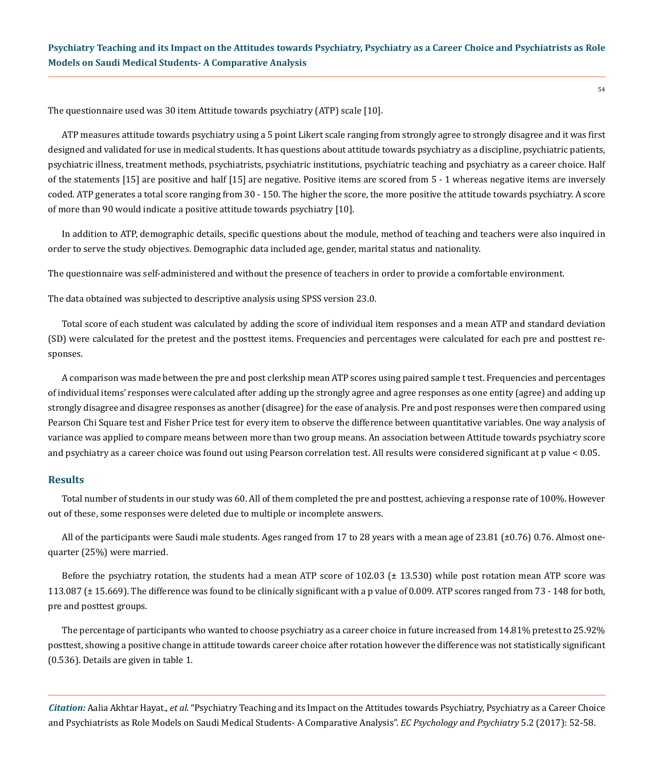The questionnaire used was 30 item Attitude towards psychiatry (ATP) scale [10].

ATP measures attitude towards psychiatry using a 5 point Likert scale ranging from strongly agree to strongly disagree and it was first designed and validated for use in medical students. It has questions about attitude towards psychiatry as a discipline, psychiatric patients, psychiatric illness, treatment methods, psychiatrists, psychiatric institutions, psychiatric teaching and psychiatry as a career choice. Half of the statements [15] are positive and half [15] are negative. Positive items are scored from 5 - 1 whereas negative items are inversely coded. ATP generates a total score ranging from 30 - 150. The higher the score, the more positive the attitude towards psychiatry. A score of more than 90 would indicate a positive attitude towards psychiatry [10].

In addition to ATP, demographic details, specific questions about the module, method of teaching and teachers were also inquired in order to serve the study objectives. Demographic data included age, gender, marital status and nationality.

The questionnaire was self-administered and without the presence of teachers in order to provide a comfortable environment.

The data obtained was subjected to descriptive analysis using SPSS version 23.0.

Total score of each student was calculated by adding the score of individual item responses and a mean ATP and standard deviation (SD) were calculated for the pretest and the posttest items. Frequencies and percentages were calculated for each pre and posttest responses.

A comparison was made between the pre and post clerkship mean ATP scores using paired sample t test. Frequencies and percentages of individual items' responses were calculated after adding up the strongly agree and agree responses as one entity (agree) and adding up strongly disagree and disagree responses as another (disagree) for the ease of analysis. Pre and post responses were then compared using Pearson Chi Square test and Fisher Price test for every item to observe the difference between quantitative variables. One way analysis of variance was applied to compare means between more than two group means. An association between Attitude towards psychiatry score and psychiatry as a career choice was found out using Pearson correlation test. All results were considered significant at p value < 0.05.

### **Results**

Total number of students in our study was 60. All of them completed the pre and posttest, achieving a response rate of 100%. However out of these, some responses were deleted due to multiple or incomplete answers.

All of the participants were Saudi male students. Ages ranged from 17 to 28 years with a mean age of 23.81 (±0.76) 0.76. Almost onequarter (25%) were married.

Before the psychiatry rotation, the students had a mean ATP score of 102.03 ( $\pm$  13.530) while post rotation mean ATP score was 113.087 (± 15.669). The difference was found to be clinically significant with a p value of 0.009. ATP scores ranged from 73 - 148 for both, pre and posttest groups.

The percentage of participants who wanted to choose psychiatry as a career choice in future increased from 14.81% pretest to 25.92% posttest, showing a positive change in attitude towards career choice after rotation however the difference was not statistically significant (0.536). Details are given in table 1.

*Citation:* Aalia Akhtar Hayat., *et al*. "Psychiatry Teaching and its Impact on the Attitudes towards Psychiatry, Psychiatry as a Career Choice and Psychiatrists as Role Models on Saudi Medical Students- A Comparative Analysis". *EC Psychology and Psychiatry* 5.2 (2017): 52-58.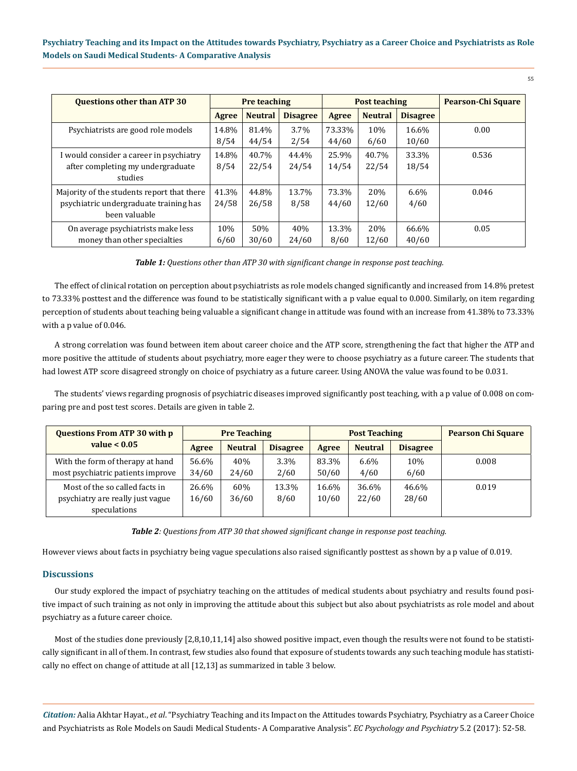| <b>Questions other than ATP 30</b>         | <b>Pre teaching</b> |                | <b>Post teaching</b> |        |                | <b>Pearson-Chi Square</b> |       |
|--------------------------------------------|---------------------|----------------|----------------------|--------|----------------|---------------------------|-------|
|                                            | Agree               | <b>Neutral</b> | <b>Disagree</b>      | Agree  | <b>Neutral</b> | <b>Disagree</b>           |       |
| Psychiatrists are good role models         | 14.8%               | 81.4%          | 3.7%                 | 73.33% | 10%            | 16.6%                     | 0.00  |
|                                            | 8/54                | 44/54          | 2/54                 | 44/60  | 6/60           | 10/60                     |       |
| I would consider a career in psychiatry    | 14.8%               | 40.7%          | 44.4%                | 25.9%  | 40.7%          | 33.3%                     | 0.536 |
| after completing my undergraduate          | 8/54                | 22/54          | 24/54                | 14/54  | 22/54          | 18/54                     |       |
| studies                                    |                     |                |                      |        |                |                           |       |
| Majority of the students report that there | 41.3%               | 44.8%          | 13.7%                | 73.3%  | 20%            | $6.6\%$                   | 0.046 |
| psychiatric undergraduate training has     | 24/58               | 26/58          | 8/58                 | 44/60  | 12/60          | 4/60                      |       |
| been valuable                              |                     |                |                      |        |                |                           |       |
| On average psychiatrists make less         | 10%                 | 50%            | 40%                  | 13.3%  | 20%            | 66.6%                     | 0.05  |
| money than other specialties               | 6/60                | 30/60          | 24/60                | 8/60   | 12/60          | 40/60                     |       |

*Table 1: Questions other than ATP 30 with significant change in response post teaching.*

The effect of clinical rotation on perception about psychiatrists as role models changed significantly and increased from 14.8% pretest to 73.33% posttest and the difference was found to be statistically significant with a p value equal to 0.000. Similarly, on item regarding perception of students about teaching being valuable a significant change in attitude was found with an increase from 41.38% to 73.33% with a p value of 0.046.

A strong correlation was found between item about career choice and the ATP score, strengthening the fact that higher the ATP and more positive the attitude of students about psychiatry, more eager they were to choose psychiatry as a future career. The students that had lowest ATP score disagreed strongly on choice of psychiatry as a future career. Using ANOVA the value was found to be 0.031.

The students' views regarding prognosis of psychiatric diseases improved significantly post teaching, with a p value of 0.008 on comparing pre and post test scores. Details are given in table 2.

| <b>Questions From ATP 30 with p</b>                                                |                | <b>Pre Teaching</b> |                 | <b>Post Teaching</b> |                 |                 | <b>Pearson Chi Square</b> |
|------------------------------------------------------------------------------------|----------------|---------------------|-----------------|----------------------|-----------------|-----------------|---------------------------|
| value $< 0.05$                                                                     | Agree          | <b>Neutral</b>      | <b>Disagree</b> | Agree                | <b>Neutral</b>  | <b>Disagree</b> |                           |
| With the form of therapy at hand<br>most psychiatric patients improve              | 56.6%<br>34/60 | 40%<br>24/60        | 3.3%<br>2/60    | 83.3%<br>50/60       | $6.6\%$<br>4/60 | 10%<br>6/60     | 0.008                     |
| Most of the so called facts in<br>psychiatry are really just vague<br>speculations | 26.6%<br>16/60 | 60%<br>36/60        | 13.3%<br>8/60   | 16.6%<br>10/60       | 36.6%<br>22/60  | 46.6%<br>28/60  | 0.019                     |

*Table 2: Questions from ATP 30 that showed significant change in response post teaching.*

However views about facts in psychiatry being vague speculations also raised significantly posttest as shown by a p value of 0.019.

### **Discussions**

Our study explored the impact of psychiatry teaching on the attitudes of medical students about psychiatry and results found positive impact of such training as not only in improving the attitude about this subject but also about psychiatrists as role model and about psychiatry as a future career choice.

Most of the studies done previously [2,8,10,11,14] also showed positive impact, even though the results were not found to be statistically significant in all of them. In contrast, few studies also found that exposure of students towards any such teaching module has statistically no effect on change of attitude at all [12,13] as summarized in table 3 below.

*Citation:* Aalia Akhtar Hayat., *et al*. "Psychiatry Teaching and its Impact on the Attitudes towards Psychiatry, Psychiatry as a Career Choice and Psychiatrists as Role Models on Saudi Medical Students- A Comparative Analysis". *EC Psychology and Psychiatry* 5.2 (2017): 52-58.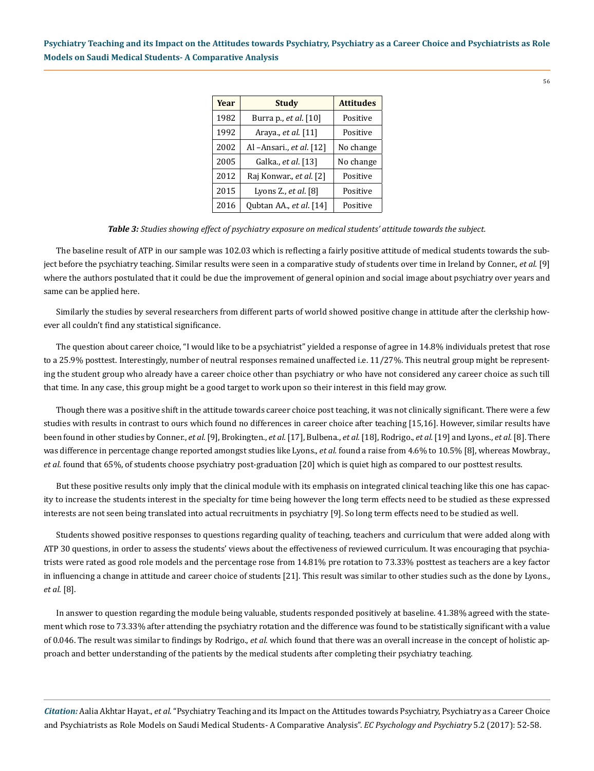56

| Year | <b>Study</b>                 | <b>Attitudes</b> |
|------|------------------------------|------------------|
| 1982 | Burra p., <i>et al.</i> [10] | Positive         |
| 1992 | Araya., <i>et al.</i> [11]   | Positive         |
| 2002 | Al -Ansari., et al. [12]     | No change        |
| 2005 | Galka., <i>et al</i> . [13]  | No change        |
| 2012 | Raj Konwar., et al. [2]      | Positive         |
| 2015 | Lyons Z., et al. [8]         | Positive         |
| 2016 | Qubtan AA., et al. [14]      | Positive         |

#### *Table 3: Studies showing effect of psychiatry exposure on medical students' attitude towards the subject.*

The baseline result of ATP in our sample was 102.03 which is reflecting a fairly positive attitude of medical students towards the subject before the psychiatry teaching. Similar results were seen in a comparative study of students over time in Ireland by Conner., *et al*. [9] where the authors postulated that it could be due the improvement of general opinion and social image about psychiatry over years and same can be applied here.

Similarly the studies by several researchers from different parts of world showed positive change in attitude after the clerkship however all couldn't find any statistical significance.

The question about career choice, "I would like to be a psychiatrist" yielded a response of agree in 14.8% individuals pretest that rose to a 25.9% posttest. Interestingly, number of neutral responses remained unaffected i.e. 11/27%. This neutral group might be representing the student group who already have a career choice other than psychiatry or who have not considered any career choice as such till that time. In any case, this group might be a good target to work upon so their interest in this field may grow.

Though there was a positive shift in the attitude towards career choice post teaching, it was not clinically significant. There were a few studies with results in contrast to ours which found no differences in career choice after teaching [15,16]. However, similar results have been found in other studies by Conner., *et al.* [9], Brokingten., *et al.* [17], Bulbena., *et al.* [18], Rodrigo., *et al.* [19] and Lyons., *et al.* [8]. There was difference in percentage change reported amongst studies like Lyons., *et al.* found a raise from 4.6% to 10.5% [8], whereas Mowbray., *et al.* found that 65%, of students choose psychiatry post-graduation [20] which is quiet high as compared to our posttest results.

But these positive results only imply that the clinical module with its emphasis on integrated clinical teaching like this one has capacity to increase the students interest in the specialty for time being however the long term effects need to be studied as these expressed interests are not seen being translated into actual recruitments in psychiatry [9]. So long term effects need to be studied as well.

Students showed positive responses to questions regarding quality of teaching, teachers and curriculum that were added along with ATP 30 questions, in order to assess the students' views about the effectiveness of reviewed curriculum. It was encouraging that psychiatrists were rated as good role models and the percentage rose from 14.81% pre rotation to 73.33% posttest as teachers are a key factor in influencing a change in attitude and career choice of students [21]. This result was similar to other studies such as the done by Lyons., *et al*. [8].

In answer to question regarding the module being valuable, students responded positively at baseline. 41.38% agreed with the statement which rose to 73.33% after attending the psychiatry rotation and the difference was found to be statistically significant with a value of 0.046. The result was similar to findings by Rodrigo., *et al*. which found that there was an overall increase in the concept of holistic approach and better understanding of the patients by the medical students after completing their psychiatry teaching.

*Citation:* Aalia Akhtar Hayat., *et al*. "Psychiatry Teaching and its Impact on the Attitudes towards Psychiatry, Psychiatry as a Career Choice and Psychiatrists as Role Models on Saudi Medical Students- A Comparative Analysis". *EC Psychology and Psychiatry* 5.2 (2017): 52-58.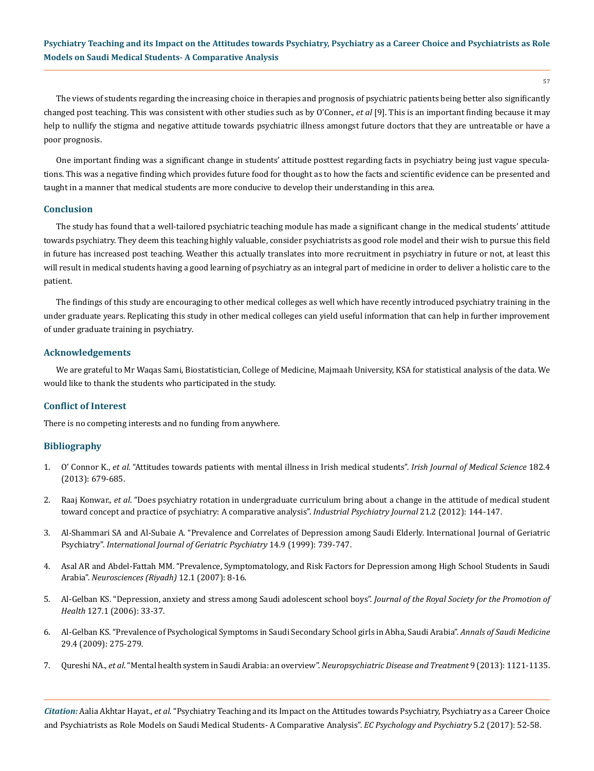The views of students regarding the increasing choice in therapies and prognosis of psychiatric patients being better also significantly changed post teaching. This was consistent with other studies such as by O'Conner., *et al* [9]. This is an important finding because it may help to nullify the stigma and negative attitude towards psychiatric illness amongst future doctors that they are untreatable or have a poor prognosis.

One important finding was a significant change in students' attitude posttest regarding facts in psychiatry being just vague speculations. This was a negative finding which provides future food for thought as to how the facts and scientific evidence can be presented and taught in a manner that medical students are more conducive to develop their understanding in this area.

#### **Conclusion**

The study has found that a well-tailored psychiatric teaching module has made a significant change in the medical students' attitude towards psychiatry. They deem this teaching highly valuable, consider psychiatrists as good role model and their wish to pursue this field in future has increased post teaching. Weather this actually translates into more recruitment in psychiatry in future or not, at least this will result in medical students having a good learning of psychiatry as an integral part of medicine in order to deliver a holistic care to the patient.

The findings of this study are encouraging to other medical colleges as well which have recently introduced psychiatry training in the under graduate years. Replicating this study in other medical colleges can yield useful information that can help in further improvement of under graduate training in psychiatry.

### **Acknowledgements**

We are grateful to Mr Waqas Sami, Biostatistician, College of Medicine, Majmaah University, KSA for statistical analysis of the data. We would like to thank the students who participated in the study.

#### **Conflict of Interest**

There is no competing interests and no funding from anywhere.

### **Bibliography**

- 1. O' Connor K., *et al*[. "Attitudes towards patients with mental illness in Irish medical students".](https://www.ncbi.nlm.nih.gov/pubmed/23605088) *Irish Journal of Medical Science* 182.4 [\(2013\): 679-685.](https://www.ncbi.nlm.nih.gov/pubmed/23605088)
- 2. Raaj Konwar., *et al*[. "Does psychiatry rotation in undergraduate curriculum bring about a change in the attitude of medical student](https://www.ncbi.nlm.nih.gov/pmc/articles/PMC3830164/)  [toward concept and practice of psychiatry: A comparative analysis".](https://www.ncbi.nlm.nih.gov/pmc/articles/PMC3830164/) *Industrial Psychiatry Journal* 21.2 (2012): 144-147.
- 3. [Al-Shammari SA and Al-Subaie A. "Prevalence and Correlates of Depression among Saudi Elderly. International Journal of Geriatric](https://www.ncbi.nlm.nih.gov/pubmed/10479745)  Psychiatry". *[International Journal of Geriatric Psychiatry](https://www.ncbi.nlm.nih.gov/pubmed/10479745)* 14.9 (1999): 739-747.
- 4. [Asal AR and Abdel-Fattah MM. "Prevalence, Symptomatology, and Risk Factors for Depression among High School Students in Saudi](https://www.ncbi.nlm.nih.gov/pubmed/21857611) Arabia". *[Neurosciences \(Riyadh\)](https://www.ncbi.nlm.nih.gov/pubmed/21857611)* 12.1 (2007): 8-16.
- 5. [Al-Gelban KS. "Depression, anxiety and stress among Saudi adolescent school boys".](https://www.ncbi.nlm.nih.gov/pubmed/17319315) *Journal of the Royal Society for the Promotion of Health* [127.1 \(2006\): 33-37.](https://www.ncbi.nlm.nih.gov/pubmed/17319315)
- 6. [Al-Gelban KS. "Prevalence of Psychological Symptoms in Saudi Secondary School girls in Abha, Saudi Arabia".](https://www.ncbi.nlm.nih.gov/pmc/articles/PMC2841454/) *Annals of Saudi Medicine* [29.4 \(2009\): 275-279.](https://www.ncbi.nlm.nih.gov/pmc/articles/PMC2841454/)
- 7. Qureshi NA., *et al*[. "Mental health system in Saudi Arabia: an overview".](https://www.ncbi.nlm.nih.gov/pmc/articles/PMC3743653/) *Neuropsychiatric Disease and Treatment* 9 (2013): 1121-1135.

*Citation:* Aalia Akhtar Hayat., *et al*. "Psychiatry Teaching and its Impact on the Attitudes towards Psychiatry, Psychiatry as a Career Choice and Psychiatrists as Role Models on Saudi Medical Students- A Comparative Analysis". *EC Psychology and Psychiatry* 5.2 (2017): 52-58.